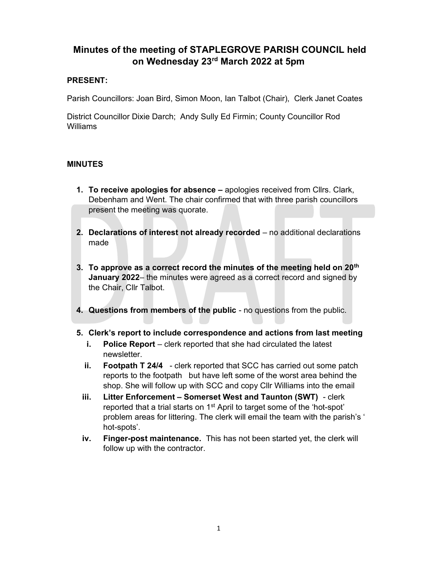# Minutes of the meeting of STAPLEGROVE PARISH COUNCIL held on Wednesday 23rd March 2022 at 5pm

#### PRESENT:

Parish Councillors: Joan Bird, Simon Moon, Ian Talbot (Chair), Clerk Janet Coates

District Councillor Dixie Darch; Andy Sully Ed Firmin; County Councillor Rod Williams

# MINUTES

- 1. To receive apologies for absence apologies received from Cllrs. Clark, Debenham and Went. The chair confirmed that with three parish councillors present the meeting was quorate.
- 2. Declarations of interest not already recorded no additional declarations made
- 3. To approve as a correct record the minutes of the meeting held on 20<sup>th</sup> January 2022– the minutes were agreed as a correct record and signed by the Chair, Cllr Talbot.
- 4. Questions from members of the public no questions from the public.
- 5. Clerk's report to include correspondence and actions from last meeting
	- i. Police Report clerk reported that she had circulated the latest newsletter.
	- ii. Footpath T 24/4 clerk reported that SCC has carried out some patch reports to the footpath but have left some of the worst area behind the shop. She will follow up with SCC and copy Cllr Williams into the email
	- iii. Litter Enforcement Somerset West and Taunton (SWT) clerk reported that a trial starts on 1<sup>st</sup> April to target some of the 'hot-spot' problem areas for littering. The clerk will email the team with the parish's ' hot-spots'.
	- iv. Finger-post maintenance. This has not been started yet, the clerk will follow up with the contractor.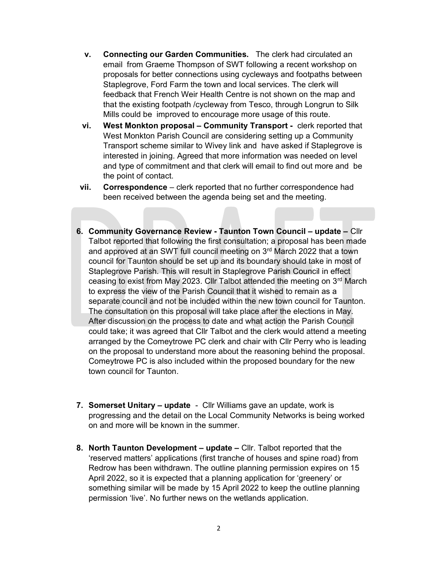- v. Connecting our Garden Communities. The clerk had circulated an email from Graeme Thompson of SWT following a recent workshop on proposals for better connections using cycleways and footpaths between Staplegrove, Ford Farm the town and local services. The clerk will feedback that French Weir Health Centre is not shown on the map and that the existing footpath /cycleway from Tesco, through Longrun to Silk Mills could be improved to encourage more usage of this route.
- vi. West Monkton proposal Community Transport clerk reported that West Monkton Parish Council are considering setting up a Community Transport scheme similar to Wivey link and have asked if Staplegrove is interested in joining. Agreed that more information was needed on level and type of commitment and that clerk will email to find out more and be the point of contact.
- vii. Correspondence clerk reported that no further correspondence had been received between the agenda being set and the meeting.
- 6. Community Governance Review Taunton Town Council update Cllr Talbot reported that following the first consultation; a proposal has been made and approved at an SWT full council meeting on 3rd March 2022 that a town council for Taunton should be set up and its boundary should take in most of Staplegrove Parish. This will result in Staplegrove Parish Council in effect ceasing to exist from May 2023. Cllr Talbot attended the meeting on  $3<sup>rd</sup>$  March to express the view of the Parish Council that it wished to remain as a separate council and not be included within the new town council for Taunton. The consultation on this proposal will take place after the elections in May. After discussion on the process to date and what action the Parish Council could take; it was agreed that Cllr Talbot and the clerk would attend a meeting arranged by the Comeytrowe PC clerk and chair with Cllr Perry who is leading on the proposal to understand more about the reasoning behind the proposal. Comeytrowe PC is also included within the proposed boundary for the new town council for Taunton.
- 7. Somerset Unitary update Cllr Williams gave an update, work is progressing and the detail on the Local Community Networks is being worked on and more will be known in the summer.
- 8. North Taunton Development update Cllr. Talbot reported that the 'reserved matters' applications (first tranche of houses and spine road) from Redrow has been withdrawn. The outline planning permission expires on 15 April 2022, so it is expected that a planning application for 'greenery' or something similar will be made by 15 April 2022 to keep the outline planning permission 'live'. No further news on the wetlands application.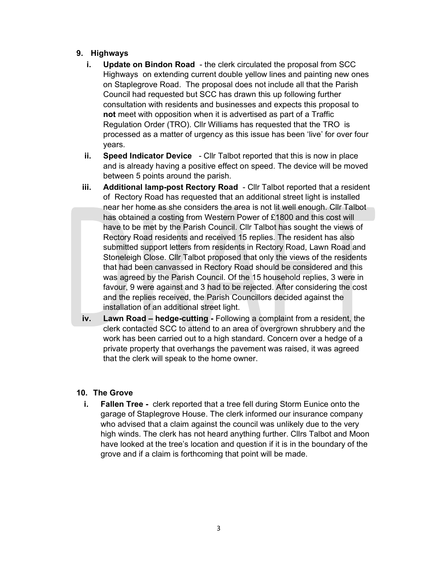# 9. Highways

- **i.** Update on Bindon Road the clerk circulated the proposal from SCC Highways on extending current double yellow lines and painting new ones on Staplegrove Road. The proposal does not include all that the Parish Council had requested but SCC has drawn this up following further consultation with residents and businesses and expects this proposal to not meet with opposition when it is advertised as part of a Traffic Regulation Order (TRO). Cllr Williams has requested that the TRO is processed as a matter of urgency as this issue has been 'live' for over four years.
- ii. Speed Indicator Device Cllr Talbot reported that this is now in place and is already having a positive effect on speed. The device will be moved between 5 points around the parish.
- iii. Additional lamp-post Rectory Road Cllr Talbot reported that a resident of Rectory Road has requested that an additional street light is installed near her home as she considers the area is not lit well enough. Cllr Talbot has obtained a costing from Western Power of £1800 and this cost will have to be met by the Parish Council. Cllr Talbot has sought the views of Rectory Road residents and received 15 replies. The resident has also submitted support letters from residents in Rectory Road, Lawn Road and Stoneleigh Close. Cllr Talbot proposed that only the views of the residents that had been canvassed in Rectory Road should be considered and this was agreed by the Parish Council. Of the 15 household replies, 3 were in favour, 9 were against and 3 had to be rejected. After considering the cost and the replies received, the Parish Councillors decided against the installation of an additional street light.
- iv. Lawn Road hedge-cutting Following a complaint from a resident, the clerk contacted SCC to attend to an area of overgrown shrubbery and the work has been carried out to a high standard. Concern over a hedge of a private property that overhangs the pavement was raised, it was agreed that the clerk will speak to the home owner.

# 10. The Grove

i. Fallen Tree - clerk reported that a tree fell during Storm Eunice onto the garage of Staplegrove House. The clerk informed our insurance company who advised that a claim against the council was unlikely due to the very high winds. The clerk has not heard anything further. Cllrs Talbot and Moon have looked at the tree's location and question if it is in the boundary of the grove and if a claim is forthcoming that point will be made.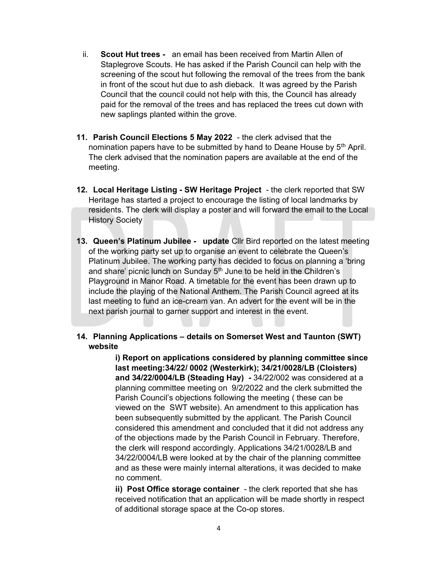- ii. Scout Hut trees an email has been received from Martin Allen of Staplegrove Scouts. He has asked if the Parish Council can help with the screening of the scout hut following the removal of the trees from the bank in front of the scout hut due to ash dieback. It was agreed by the Parish Council that the council could not help with this, the Council has already paid for the removal of the trees and has replaced the trees cut down with new saplings planted within the grove.
- 11. Parish Council Elections 5 May 2022 the clerk advised that the nomination papers have to be submitted by hand to Deane House by  $5<sup>th</sup>$  April. The clerk advised that the nomination papers are available at the end of the meeting.
- 12. Local Heritage Listing SW Heritage Project the clerk reported that SW Heritage has started a project to encourage the listing of local landmarks by residents. The clerk will display a poster and will forward the email to the Local History Society
- 13. Queen's Platinum Jubilee update Cllr Bird reported on the latest meeting of the working party set up to organise an event to celebrate the Queen's Platinum Jubilee. The working party has decided to focus on planning a 'bring and share' picnic lunch on Sunday  $5<sup>th</sup>$  June to be held in the Children's Playground in Manor Road. A timetable for the event has been drawn up to include the playing of the National Anthem. The Parish Council agreed at its last meeting to fund an ice-cream van. An advert for the event will be in the next parish journal to garner support and interest in the event.

#### 14. Planning Applications – details on Somerset West and Taunton (SWT) website

i) Report on applications considered by planning committee since last meeting:34/22/ 0002 (Westerkirk); 34/21/0028/LB (Cloisters) and 34/22/0004/LB (Steading Hay) - 34/22/002 was considered at a planning committee meeting on 9/2/2022 and the clerk submitted the Parish Council's objections following the meeting ( these can be viewed on the SWT website). An amendment to this application has been subsequently submitted by the applicant. The Parish Council considered this amendment and concluded that it did not address any of the objections made by the Parish Council in February. Therefore, the clerk will respond accordingly. Applications 34/21/0028/LB and 34/22/0004/LB were looked at by the chair of the planning committee and as these were mainly internal alterations, it was decided to make no comment.

ii) Post Office storage container - the clerk reported that she has received notification that an application will be made shortly in respect of additional storage space at the Co-op stores.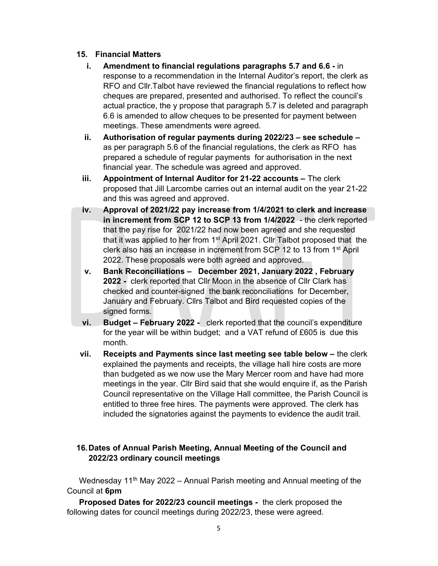#### 15. Financial Matters

- i. Amendment to financial regulations paragraphs 5.7 and 6.6 in response to a recommendation in the Internal Auditor's report, the clerk as RFO and Cllr.Talbot have reviewed the financial regulations to reflect how cheques are prepared, presented and authorised. To reflect the council's actual practice, the y propose that paragraph 5.7 is deleted and paragraph 6.6 is amended to allow cheques to be presented for payment between meetings. These amendments were agreed.
- ii. Authorisation of regular payments during 2022/23 see schedule as per paragraph 5.6 of the financial regulations, the clerk as RFO has prepared a schedule of regular payments for authorisation in the next financial year. The schedule was agreed and approved.
- iii. Appointment of Internal Auditor for 21-22 accounts The clerk proposed that Jill Larcombe carries out an internal audit on the year 21-22 and this was agreed and approved.
- iv. Approval of 2021/22 pay increase from 1/4/2021 to clerk and increase in increment from SCP 12 to SCP 13 from 1/4/2022 - the clerk reported that the pay rise for 2021/22 had now been agreed and she requested that it was applied to her from 1<sup>st</sup> April 2021. Cllr Talbot proposed that the clerk also has an increase in increment from SCP 12 to 13 from 1st April 2022. These proposals were both agreed and approved.
- v. Bank Reconciliations December 2021, January 2022 , February 2022 - clerk reported that Cllr Moon in the absence of Cllr Clark has checked and counter-signed the bank reconciliations for December, January and February. Cllrs Talbot and Bird requested copies of the signed forms.
- vi. Budget February 2022 clerk reported that the council's expenditure for the year will be within budget; and a VAT refund of £605 is due this month.
- vii. Receipts and Payments since last meeting see table below the clerk explained the payments and receipts, the village hall hire costs are more than budgeted as we now use the Mary Mercer room and have had more meetings in the year. Cllr Bird said that she would enquire if, as the Parish Council representative on the Village Hall committee, the Parish Council is entitled to three free hires. The payments were approved. The clerk has included the signatories against the payments to evidence the audit trail.

# 16. Dates of Annual Parish Meeting, Annual Meeting of the Council and 2022/23 ordinary council meetings

Wednesday 11<sup>th</sup> May 2022 – Annual Parish meeting and Annual meeting of the Council at 6pm

Proposed Dates for 2022/23 council meetings - the clerk proposed the following dates for council meetings during 2022/23, these were agreed.